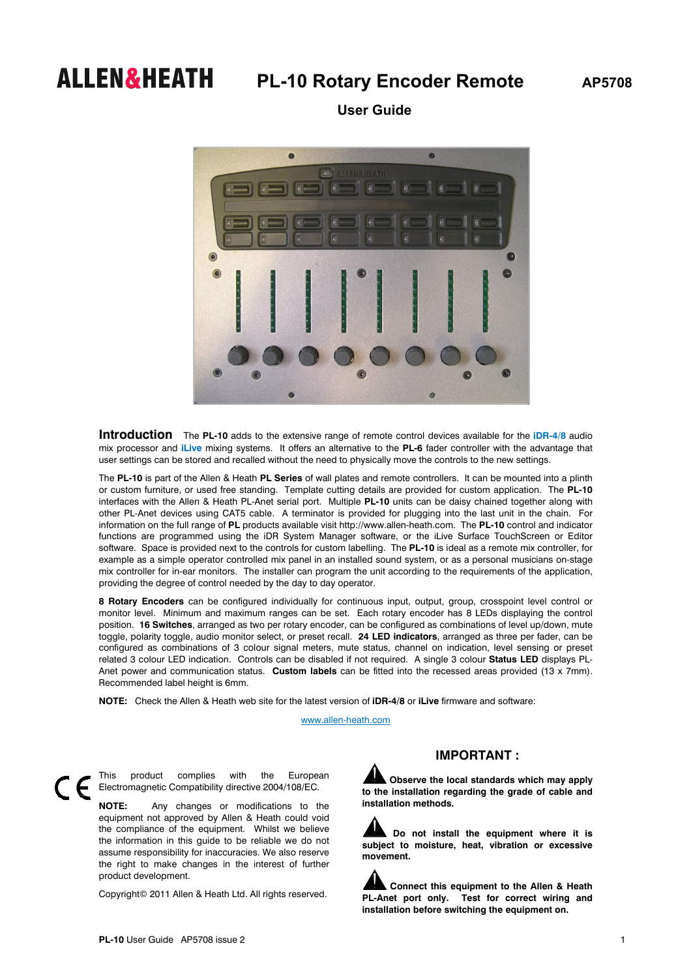## **ALLEN&HEATH** PL-10 Rotary Encoder Remote AP5708

 **User Guide** 



**Introduction** The **PL-10** adds to the extensive range of remote control devices available for the **iDR-4/8** audio mix processor and **iLive** mixing systems. It offers an alternative to the **PL-6** fader controller with the advantage that user settings can be stored and recalled without the need to physically move the controls to the new settings.

The **PL-10** is part of the Allen & Heath **PL Series** of wall plates and remote controllers. It can be mounted into a plinth or custom furniture, or used free standing. Template cutting details are provided for custom application. The **PL-10** interfaces with the Allen & Heath PL-Anet serial port. Multiple **PL-10** units can be daisy chained together along with other PL-Anet devices using CAT5 cable. A terminator is provided for plugging into the last unit in the chain. For information on the full range of **PL** products available visit http://www.allen-heath.com. The **PL-10** control and indicator functions are programmed using the iDR System Manager software, or the iLive Surface TouchScreen or Editor software. Space is provided next to the controls for custom labelling. The **PL-10** is ideal as a remote mix controller, for example as a simple operator controlled mix panel in an installed sound system, or as a personal musicians on-stage mix controller for in-ear monitors. The installer can program the unit according to the requirements of the application, providing the degree of control needed by the day to day operator.

**8 Rotary Encoders** can be configured individually for continuous input, output, group, crosspoint level control or monitor level. Minimum and maximum ranges can be set. Each rotary encoder has 8 LEDs displaying the control position. **16 Switches**, arranged as two per rotary encoder, can be configured as combinations of level up/down, mute toggle, polarity toggle, audio monitor select, or preset recall. **24 LED indicators**, arranged as three per fader, can be configured as combinations of 3 colour signal meters, mute status, channel on indication, level sensing or preset related 3 colour LED indication. Controls can be disabled if not required. A single 3 colour **Status LED** displays PL-Anet power and communication status. **Custom labels** can be fitted into the recessed areas provided (13 x 7mm). Recommended label height is 6mm.

**NOTE:** Check the Allen & Heath web site for the latest version of **iDR-4/8** or **iLive** firmware and software:

www.allen-heath.com

 $\in$ 

This product complies with the European Electromagnetic Compatibility directive 2004/108/EC.

**NOTE:** Any changes or modifications to the equipment not approved by Allen & Heath could void the compliance of the equipment. Whilst we believe the information in this guide to be reliable we do not assume responsibility for inaccuracies. We also reserve the right to make changes in the interest of further product development.

Copyright© 2011 Allen & Heath Ltd. All rights reserved.

## **IMPORTANT :**

**Observe the local standards which may apply to the installation regarding the grade of cable and installation methods.** 

**Do not install the equipment where it is subject to moisture, heat, vibration or excessive movement.** 

**Connect this equipment to the Allen & Heath PL-Anet port only. Test for correct wiring and installation before switching the equipment on.**